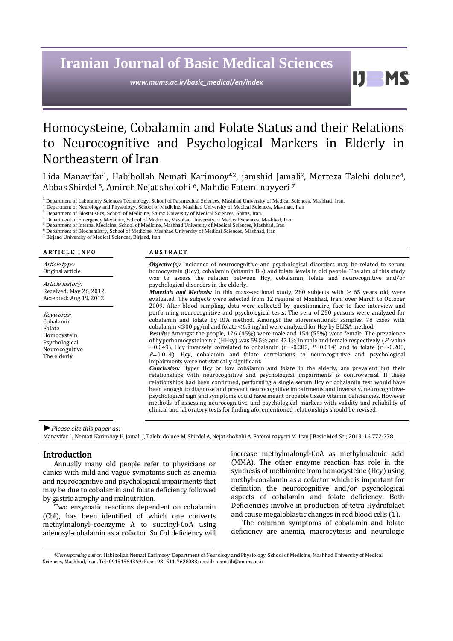# **Iranian Journal of Basic Medical Sciences**

*www.mums.ac.ir/basic\_medical/en/index*

H **MS** 

# Homocysteine, Cobalamin and Folate Status and their Relations to Neurocognitive and Psychological Markers in Elderly in Northeastern of Iran

Lida Manavifar<sup>1</sup>, Habibollah Nemati Karimooy<sup>\*2</sup>, jamshid Jamali<sup>3</sup>, Morteza Talebi doluee<sup>4</sup>, Abbas Shirdel 5, Amireh Nejat shokohi 6, Mahdie Fatemi nayyeri <sup>7</sup>

<sup>1</sup> Department of Laboratory Sciences Technology, School of Paramedical Sciences, Mashhad University of Medical Sciences, Mashhad, Iran.

<sup>2</sup> Department of Neurology and Physiology, School of Medicine, Mashhad University of Medical Sciences, Mashhad, Iran

<sup>3</sup> Department of Biostatistics, School of Medicine, Shiraz University of Medical Sciences, Shiraz, Iran.

<sup>4</sup> Department of Emergency Medicine, School of Medicine, Mashhad University of Medical Sciences, Mashhad, Iran

<sup>5</sup> Department of Internal Medicine, School of Medicine, Mashhad University of Medical Sciences, Mashhad, Iran

<sup>6</sup> Department of Biochemistry, School of Medicine, Mashhad University of Medical Sciences, Mashhad, Iran <sup>7</sup> Birjand University of Medical Sciences, Birjand, Iran

| <b>ARTICLE INFO</b>                                                                                | <b>ABSTRACT</b>                                                                                                                                                                                                                                                                                                                                                                                                                                                                                                                                                                                                                                                                                                                                                                                                                                                                                                                                                                                                                                                                                                                                                                                                                                                                                                                                                                                                                                                       |  |
|----------------------------------------------------------------------------------------------------|-----------------------------------------------------------------------------------------------------------------------------------------------------------------------------------------------------------------------------------------------------------------------------------------------------------------------------------------------------------------------------------------------------------------------------------------------------------------------------------------------------------------------------------------------------------------------------------------------------------------------------------------------------------------------------------------------------------------------------------------------------------------------------------------------------------------------------------------------------------------------------------------------------------------------------------------------------------------------------------------------------------------------------------------------------------------------------------------------------------------------------------------------------------------------------------------------------------------------------------------------------------------------------------------------------------------------------------------------------------------------------------------------------------------------------------------------------------------------|--|
| Article type:<br>Original article                                                                  | <b><i>Objective(s)</i></b> : Incidence of neurocognitive and psychological disorders may be related to serum<br>homocystein (Hcy), cobalamin (vitamin B <sub>12</sub> ) and folate levels in old people. The aim of this study                                                                                                                                                                                                                                                                                                                                                                                                                                                                                                                                                                                                                                                                                                                                                                                                                                                                                                                                                                                                                                                                                                                                                                                                                                        |  |
| Article history:<br>Received: May 26, 2012<br>Accepted: Aug 19, 2012                               | was to assess the relation between Hcy, cobalamin, folate and neurocognitive and/or<br>psychological disorders in the elderly.<br><b><i>Materials and Methods:</i></b> In this cross-sectional study, 280 subjects with $\geq$ 65 years old, were<br>evaluated. The subjects were selected from 12 regions of Mashhad, Iran, over March to October<br>2009. After blood sampling, data were collected by questionnaire, face to face interview and                                                                                                                                                                                                                                                                                                                                                                                                                                                                                                                                                                                                                                                                                                                                                                                                                                                                                                                                                                                                                    |  |
| Keywords:<br>Cobalamin<br>Folate<br>Homocystein,<br>Psychological<br>Neurocognitive<br>The elderly | performing neurocognitive and psychological tests. The sera of 250 persons were analyzed for<br>cobalamin and folate by RIA method. Amongst the aforementioned samples, 78 cases with<br>cobalamin $\langle 300 \text{ pg/ml}$ and folate $\langle 6.5 \text{ ng/ml}$ were analyzed for Hcy by ELISA method.<br><b>Results:</b> Amongst the people, 126 (45%) were male and 154 (55%) were female. The prevalence<br>of hyperhomocysteinemia (HHcy) was 59.5% and 37.1% in male and female respectively ( $P$ -value<br>$=0.049$ ). Hcy inversely correlated to cobalamin (r=-0.282, P=0.014) and to folate (r=-0.203,<br>$P=0.014$ ). Hcy, cobalamin and folate correlations to neurocognitive and psychological<br>impairments were not statically significant.<br><b>Conclusion:</b> Hyper Hcy or low cobalamin and folate in the elderly, are prevalent but their<br>relationships with neurocognitive and psychological impairments is controversial. If these<br>relationships had been confirmed, performing a single serum Hcy or cobalamin test would have<br>been enough to diagnose and prevent neurocognitive impairments and inversely, neurocognitive-<br>psychological sign and symptoms could have meant probable tissue vitamin deficiencies. However<br>methods of assessing neurocognitive and psychological markers with validity and reliability of<br>clinical and laboratory tests for finding aforementioned relationships should be revised. |  |

*►Please cite this paper as:*

Manavifar L, Nemati Karimooy H, Jamali J, Talebi doluee M, Shirdel A, Nejat shokohi A, Fatemi nayyeri M. Iran J Basic Med Sci; 2013; 16:772-778.

#### Introduction

Annually many old people refer to physicians or clinics with mild and vague symptoms such as anemia and neurocognitive and psychological impairments that may be due to cobalamin and folate deficiency followed by gastric atrophy and malnutrition.

Two enzymatic reactions dependent on cobalamin (Cbl), has been identified of which one converts methylmalonyl–coenzyme A to succinyl-CoA using adenosyl-cobalamin as a cofactor. So Cbl deficiency will increase methylmalonyl-CoA as methylmalonic acid (MMA). The other enzyme reaction has role in the synthesis of methioninefrom homocysteine (Hcy) using methyl-cobalamin as a cofactor whicht is important for definition the neurocognitive and/or psychological aspects of cobalamin and folate deficiency. Both Deficiencies involve in production of tetra Hydrofolaet and cause megaloblastic changes in red blood cells (1).

The common symptoms of cobalamin and folate deficiency are anemia, macrocytosis and neurologic

*<sup>\*</sup>Corresponding author:* Habibollah Nemati Karimooy, Department of Neurology and Physiology, School of Medicine, Mashhad University of Medical Sciences, Mashhad, Iran[. Tel: 09151564369;](tel:09151564369) Fax:+98- 511-7628088; email: nematih@mums.ac.ir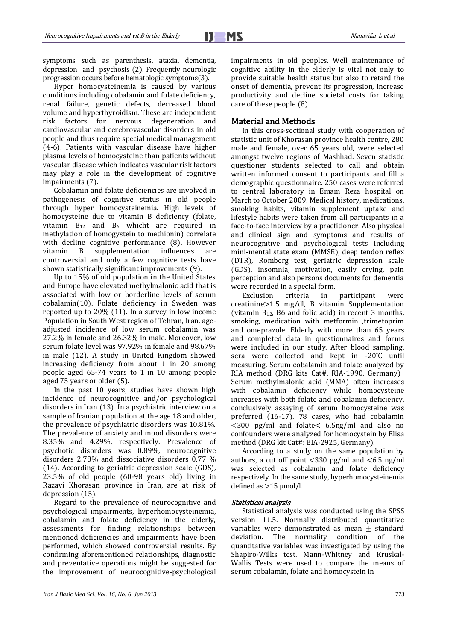symptoms such as parenthesis, ataxia, dementia, depression and psychosis (2). Frequently neurologic progression occurs before hematologic symptoms(3).

Hyper homocysteinemia is caused by various conditions including cobalamin and folate deficiency, renal failure, genetic defects, decreased blood volume and hyperthyroidism. These are independent risk factors for nervous degeneration and cardiovascular and cerebrovascular disorders in old people and thus require special medical management (4-6). Patients with vascular disease have higher plasma levels of homocysteine than patients without vascular disease which indicates vascular risk factors may play a role in the development of cognitive impairments (7).

Cobalamin and folate deficiencies are involved in pathogenesis of cognitive status in old people through hyper homocysteinemia. High levels of homocysteine due to vitamin B deficiency (folate, vitamin  $B_{12}$  and  $B_6$  whicht are required in methylation of homogystein to methionin) correlate with decline cognitive performance (8). However vitamin B supplementation influences are controversial and only a few cognitive tests have shown statistically significant improvements (9).

Up to 15% of old population in the United States and Europe have elevated methylmalonic acid that is associated with low or borderline levels of serum cobalamin(10). Folate deficiency in Sweden was reported up to 20% (11). In a survey in low income Population in South West region of Tehran, Iran, ageadjusted incidence of low serum cobalamin was 27.2% in female and 26.32% in male. Moreover, low serum folate level was 97.92% in female and 98.67% in male (12). A study in United Kingdom showed increasing deficiency from about 1 in 20 among people aged 65-74 years to 1 in 10 among people aged 75 years or older (5).

In the past 10 years, studies have shown high incidence of neurocognitive and/or psychological disorders in Iran (13). In a psychiatric interview on a sample of Iranian population at the age 18 and older, the prevalence of psychiatric disorders was 10.81%. The prevalence of anxiety and mood disorders were 8.35% and 4.29%, respectively. Prevalence of psychotic disorders was 0.89%, neurocognitive disorders 2.78% and dissociative disorders 0.77 % (14). According to geriatric depression scale (GDS), 23.5% of old people (60-98 years old) living in Razavi Khorasan province in Iran, are at risk of depression (15).

Regard to the prevalence of neurocognitive and psychological impairments, hyperhomocysteinemia, cobalamin and folate deficiency in the elderly, assessments for finding relationships between mentioned deficiencies and impairments have been performed, which showed controversial results. By confirming aforementioned relationships, diagnostic and preventative operations might be suggested for the improvement of neurocognitive-psychological impairments in old peoples. Well maintenance of cognitive ability in the elderly is vital not only to provide suitable health status but also to retard the onset of dementia, prevent its progression, increase productivity and decline societal costs for taking care of these people (8).

#### Material and Methods

In this cross-sectional study with cooperation of statistic unit of Khorasan province health centre, 280 male and female, over 65 years old, were selected amongst twelve regions of Mashhad. Seven statistic questioner students selected to call and obtain written informed consent to participants and fill a demographic questionnaire. 250 cases were referred to central laboratory in Emam Reza hospital on March to October 2009. Medical history, medications, smoking habits, vitamin supplement uptake and lifestyle habits were taken from all participants in a face-to-face interview by a practitioner. Also physical and clinical sign and symptoms and results of neurocognitive and psychological tests Including mini-mental state exam (MMSE), deep tendon reflex (DTR), Romberg test, geriatric depression scale (GDS), insomnia, motivation, easily crying, pain perception and also persons documents for dementia were recorded in a special form.

Exclusion criteria in participant were creatinine>1.5 mg/dl, B vitamin Supplementation (vitamin  $B_{12}$ , B6 and folic acid) in recent 3 months, smoking, medication with metformin trimetoprim and omeprazole. Elderly with more than 65 years and completed data in questionnaires and forms were included in our study. After blood sampling sera were collected and kept in -20°C until measuring. Serum cobalamin and folate analyzed by RIA method (DRG kits Cat#, RIA-1990, Germany) Serum methylmalonic acid (MMA) often increases with cobalamin deficiency while homocysteine increases with both folate and cobalamin deficiency, conclusively assaying of serum homocysteine was preferred (16-17). 78 cases, who had cobalamin <300 pg/ml and folate< 6.5ng/ml and also no confounders were analyzed for homocystein by Elisa method (DRG kit Cat#: EIA-2925, Germany).

According to a study on the same population by authors, a cut off point <330 pg/ml and <6.5 ng/ml was selected as cobalamin and folate deficiency respectively. In the same study, hyperhomocysteinemia defined as  $>15$   $\mu$ mol/l.

#### Statistical analysis

Statistical analysis was conducted using the SPSS version 11.5. Normally distributed quantitative variables were demonstrated as mean  $\pm$  standard deviation. The normality condition of the quantitative variables was investigated by using the Shapiro-Wilks test. Mann-Whitney and Kruskal-Wallis Tests were used to compare the means of serum cobalamin, folate and homocystein in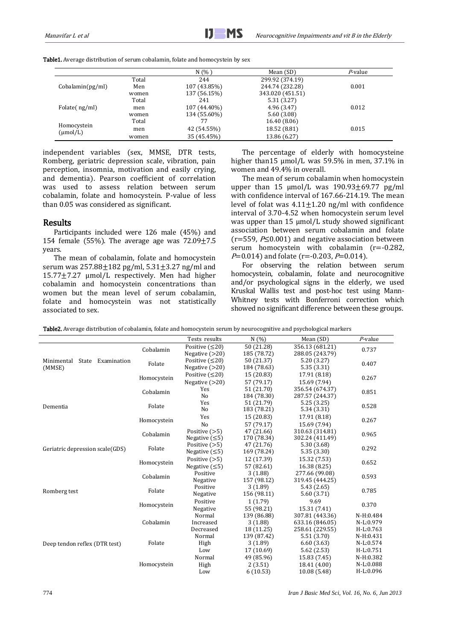Table1. Average distribution of serum cobalamin, folate and homocystein by sex

|                                     |       | N(% )        | Mean (SD)        | P-value |
|-------------------------------------|-------|--------------|------------------|---------|
| Cobalamin(pg/ml)                    | Total | 244          | 299.92 (374.19)  |         |
|                                     | Men   | 107 (43.85%) | 244.74 (232.28)  | 0.001   |
|                                     | women | 137 (56.15%) | 343.020 (451.51) |         |
|                                     | Total | 241          | 5.31(3.27)       |         |
| Folate(ng/ml)                       | men   | 107 (44.40%) | 4.96(3.47)       | 0.012   |
|                                     | women | 134 (55.60%) | 5.60(3.08)       |         |
|                                     | Total |              | 16.40 (8.06)     |         |
| Homocystein<br>$(\mu \text{mol/L})$ | men   | 42 (54.55%)  | 18.52 (8.81)     | 0.015   |
|                                     | women | 35 (45.45%)  | 13.86 (6.27)     |         |

independent variables (sex, MMSE, DTR tests, Romberg, geriatric depression scale, vibration, pain perception, insomnia, motivation and easily crying, and dementia). Pearson coefficient of correlation was used to assess relation between serum cobalamin, folate and homocystein. P-value of less than 0.05 was considered as significant.

### Results

Participants included were 126 male (45%) and 154 female (55%). The average age was  $72.09 \pm 7.5$ years.

The mean of cobalamin, folate and homocystein serum was  $257.88 \pm 182$  pg/ml,  $5.31 \pm 3.27$  ng/ml and 15.77±7.27 µmol/L respectively. Men had higher cobalamin and homocystein concentrations than women but the mean level of serum cobalamin, folate and homocystein was not statistically associated to sex.

The percentage of elderly with homocysteine higher than 15  $\mu$ mol/L was 59.5% in men, 37.1% in women and 49.4% in overall.

The mean of serum cobalamin when homocystein upper than 15  $\mu$ mol/L was 190.93 $\pm$ 69.77 pg/ml with confidence interval of 167.66-214.19. The mean level of folat was  $4.11 \pm 1.20$  ng/ml with confidence interval of 3.70-4.52 when homocystein serum level was upper than 15  $\mu$ mol/L study showed significant association between serum cobalamin and folate ( $r=559$ ,  $P\leq 0.001$ ) and negative association between serum homocystein with cobalamin (r=-0.282,  $P=0.014$ ) and folate (r=-0.203,  $P=0.014$ ).

For observing the relation between serum homocystein, cobalamin, folate and neurocognitive and/or psychological signs in the elderly, we used Kruskal Wallis test and post-hoc test using Mann-Whitney tests with Bonferroni correction which showed no significant difference between these groups.

| rabicari iverage distribution of cobalamin, foldet and nomocystem serum by neurocognitive and psychological markers |             |                       |             |                 |             |  |
|---------------------------------------------------------------------------------------------------------------------|-------------|-----------------------|-------------|-----------------|-------------|--|
|                                                                                                                     |             | Tests results         | N(%)        | Mean (SD)       | $P$ -value  |  |
|                                                                                                                     | Cobalamin   | Positive $( \leq 20)$ | 50 (21.28)  | 356.13 (681.21) | 0.737       |  |
|                                                                                                                     |             | Negative $(>20)$      | 185 (78.72) | 288.05 (243.79) |             |  |
| Minimental State Examination                                                                                        | Folate      | Positive $( \leq 20)$ | 50 (21.37)  | 5.20(3.27)      | 0.407       |  |
| (MMSE)                                                                                                              |             | Negative $(>20)$      | 184 (78.63) | 5.35(3.31)      |             |  |
|                                                                                                                     | Homocystein | Positive $( \leq 20)$ | 15(20.83)   | 17.91 (8.18)    | 0.267       |  |
|                                                                                                                     |             | Negative $(>20)$      | 57 (79.17)  | 15.69 (7.94)    |             |  |
|                                                                                                                     | Cobalamin   | Yes                   | 51 (21.70)  | 356.54 (674.37) | 0.851       |  |
|                                                                                                                     |             | No                    | 184 (78.30) | 287.57 (244.37) |             |  |
| Dementia                                                                                                            | Folate      | Yes                   | 51 (21.79)  | 5.25(3.25)      | 0.528       |  |
|                                                                                                                     |             | No                    | 183 (78.21) | 5.34 (3.31)     |             |  |
|                                                                                                                     | Homocystein | Yes                   | 15 (20.83)  | 17.91 (8.18)    | 0.267       |  |
|                                                                                                                     |             | N <sub>o</sub>        | 57 (79.17)  | 15.69 (7.94)    |             |  |
|                                                                                                                     | Cobalamin   | Positive $(>5)$       | 47 (21.66)  | 310.63 (314.81) | 0.965       |  |
|                                                                                                                     |             | Negative $( \leq 5)$  | 170 (78.34) | 302.24 (411.49) |             |  |
|                                                                                                                     | Folate      | Positive $(>5)$       | 47 (21.76)  | 5.30(3.68)      | 0.292       |  |
| Geriatric depression scale(GDS)                                                                                     |             | Negative $( \leq 5)$  | 169 (78.24) | 5.35(3.30)      |             |  |
|                                                                                                                     | Homocystein | Positive $(>5)$       | 12 (17.39)  | 15.32 (7.53)    | 0.652       |  |
|                                                                                                                     |             | Negative $( \leq 5)$  | 57 (82.61)  | 16.38(8.25)     |             |  |
|                                                                                                                     | Cobalamin   | Positive              | 3(1.88)     | 277.66 (99.08)  | 0.593       |  |
|                                                                                                                     |             | Negative              | 157 (98.12) | 319.45 (444.25) |             |  |
|                                                                                                                     | Folate      | Positive              | 3(1.89)     | 5.43(2.65)      | 0.785       |  |
| Romberg test                                                                                                        |             | Negative              | 156 (98.11) | 5.60(3.71)      |             |  |
|                                                                                                                     | Homocystein | Positive              | 1(1.79)     | 9.69            | 0.370       |  |
|                                                                                                                     |             | Negative              | 55 (98.21)  | 15.31 (7.41)    |             |  |
|                                                                                                                     | Cobalamin   | Normal                | 139 (86.88) | 307.81 (443.36) | N-H:0.484   |  |
|                                                                                                                     |             | Increased             | 3(1.88)     | 633.16 (846.05) | N-L:0.979   |  |
|                                                                                                                     |             | Decreased             | 18 (11.25)  | 258.61 (229.55) | $H-L:0.763$ |  |
|                                                                                                                     | Folate      | Normal                | 139 (87.42) | 5.51(3.70)      | N-H:0.431   |  |
| Deep tendon reflex (DTR test)                                                                                       |             | High                  | 3(1.89)     | 6.60(3.63)      | N-L:0.574   |  |
|                                                                                                                     |             | Low                   | 17 (10.69)  | 5.62(2.53)      | H-L:0.751   |  |
|                                                                                                                     |             | Normal                | 49 (85.96)  | 15.83 (7.45)    | $N-H:0.382$ |  |
|                                                                                                                     | Homocystein | High                  | 2(3.51)     | 18.41 (4.00)    | N-L:0.088   |  |
|                                                                                                                     |             | Low                   | 6(10.53)    | 10.08 (5.48)    | H-L:0.096   |  |

Table2. Average distribution of cobalamin, folate and homocystein serum by neurocognitive and psychological markers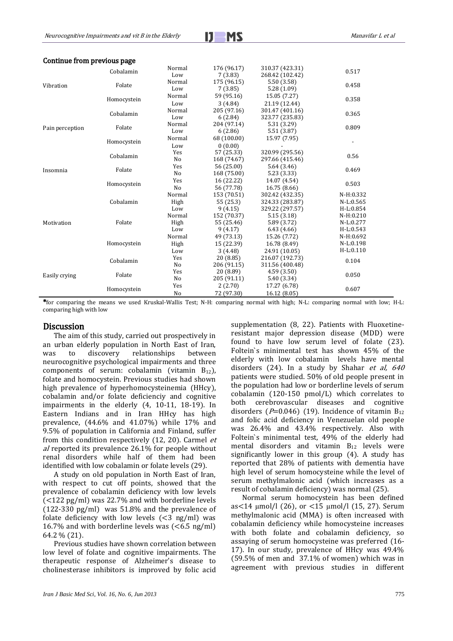$$
J\blacksquare MS
$$

| Continue from previous page |  |  |
|-----------------------------|--|--|
|-----------------------------|--|--|

| Vibration       | Cobalamin   | Normal         | 176 (96.17) | 310.37 (423.31) | 0.517       |  |
|-----------------|-------------|----------------|-------------|-----------------|-------------|--|
|                 |             | Low            | 7(3.83)     | 268.42 (102.42) |             |  |
|                 | Folate      | Normal         | 175 (96.15) | 5.50(3.58)      | 0.458       |  |
|                 |             | Low            | 7(3.85)     | 5.28(1.09)      |             |  |
|                 | Homocystein | Normal         | 59 (95.16)  | 15.05 (7.27)    | 0.358       |  |
|                 |             | Low            | 3(4.84)     | 21.19 (12.44)   |             |  |
|                 | Cobalamin   | Normal         | 205 (97.16) | 301.47 (401.16) | 0.365       |  |
|                 |             | Low            | 6(2.84)     | 323.77 (235.83) |             |  |
|                 | Folate      | Normal         | 204 (97.14) | 5.31 (3.29)     | 0.809       |  |
| Pain perception |             | Low            | 6(2.86)     | 5.51(3.87)      |             |  |
|                 | Homocystein | Normal         | 68 (100.00) | 15.97 (7.95)    |             |  |
|                 |             | Low            | 0(0.00)     |                 |             |  |
|                 | Cobalamin   | Yes            | 57 (25.33)  | 320.99 (295.56) |             |  |
|                 |             | No             | 168 (74.67) | 297.66 (415.46) | 0.56        |  |
|                 | Folate      | Yes            | 56 (25.00)  | 5.64(3.46)      | 0.469       |  |
| Insomnia        |             | N <sub>o</sub> | 168 (75.00) | 5.23 (3.33)     |             |  |
|                 |             | Yes            | 16 (22.22)  | 14.07 (4.54)    | 0.503       |  |
|                 | Homocystein | N <sub>0</sub> | 56 (77.78)  | 16.75 (8.66)    |             |  |
|                 | Cobalamin   | Normal         | 153 (70.51) | 302.42 (432.35) | N-H:0.332   |  |
|                 |             | High           | 55 (25.3)   | 324.33 (283.87) | N-L:0.565   |  |
|                 |             | Low            | 9(4.15)     | 329.22 (297.57) | H-L:0.854   |  |
|                 | Folate      | Normal         | 152 (70.37) | 5.15(3.18)      | $N-H:0.210$ |  |
| Motivation      |             | High           | 55 (25.46)  | 5.89 (3.72)     | N-L:0.277   |  |
|                 |             | Low            | 9(4.17)     | 6.43(4.66)      | H-L:0.543   |  |
|                 | Homocystein | Normal         | 49 (73.13)  | 15.26 (7.72)    | N-H:0.692   |  |
|                 |             | High           | 15 (22.39)  | 16.78 (8.49)    | N-L:0.198   |  |
|                 |             | Low            | 3(4.48)     | 24.91 (10.05)   | $H-L:0.110$ |  |
| Easily crying   | Cobalamin   | Yes            | 20 (8.85)   | 216.07 (192.73) | 0.104       |  |
|                 |             | No             | 206 (91.15) | 311.56 (400.48) |             |  |
|                 | Folate      | Yes            | 20 (8.89)   | 4.59(3.50)      | 0.050       |  |
|                 |             | No             | 205 (91.11) | 5.40 (3.34)     |             |  |
|                 | Homocystein | Yes            | 2(2.70)     | 17.27 (6.78)    | 0.607       |  |
|                 |             | N <sub>o</sub> | 72 (97.30)  | 16.12 (8.05)    |             |  |

\*for comparing the means we used Kruskal-Wallis Test; N-H: comparing normal with high; N-L: comparing normal with low; H-L: comparing high with low

#### Discussion

The aim of this study, carried out prospectively in an urban elderly population in North East of Iran, was to discovery relationships between neurocognitive psychological impairments and three components of serum: cobalamin (vitamin  $B_{12}$ ), folate and homocystein. Previous studies had shown high prevalence of hyperhomocysteinemia (HHcy), cobalamin and/or folate deficienciy and cognitive impairments in the elderly (4, 10-11, 18-19). In Eastern Indians and in Iran HHcy has high prevalence, (44.6% and 41.07%) while 17% and 9.5% of population in California and Finland, suffer from this condition respectively (12, 20). Carmel et al reported its prevalence 26.1% for people without renal disorders while half of them had been identified with low cobalamin or folate levels (29).

A study on old population in North East of Iran, with respect to cut off points, showed that the prevalence of cobalamin deficiency with low levels (<122 pg/ml) was 22.7% and with borderline levels (122-330 pg/ml) was 51.8% and the prevalence of folate deficiency with low levels  $( $3 \text{ ng/ml}$ ) was$ 16.7% and with borderline levels was  $(<$  6.5 ng/ml) 64.2 % (21).

Previous studies have shown correlation between low level of folate and cognitive impairments. The therapeutic response of Alzheimer's disease to cholinesterase inhibitors is improved by folic acid supplementation (8, 22). Patients with Fluoxetineresistant major depression disease (MDD) were found to have low serum level of folate (23). Foltein`s minimental test has shown 45% of the elderly with low cobalamin levels have mental disorders (24). In a study by Shahar et al,  $640$ patients were studied. 50% of old people present in the population had low or borderline levels of serum cobalamin (120-150 pmol/L) which correlates to both cerebrovascular diseases and cognitive disorders ( $P=0.046$ ) (19). Incidence of vitamin  $B_{12}$ and folic acid deficiency in Venezuelan old people was 26.4% and 43.4% respectively. Also with Foltein`s minimental test, 49% of the elderly had mental disorders and vitamin  $B_{12}$  levels were significantly lower in this group (4). A study has reported that 28% of patients with dementia have high level of serum homocysteine while the level of serum methylmalonic acid (which increases as a result of cobalamin deficiency) was normal (25).

Normal serum homocystein has been defined as<14 µmol/l (26), or <15 µmol/l (15, 27). Serum methylmalonic acid (MMA) is often increased with cobalamin deficiency while homocysteine increases with both folate and cobalamin deficiency, so assaying of serum homocysteine was preferred (16- 17). In our study, prevalence of HHcy was 49.4% (59.5% of men and 37.1% of women) which was in agreement with previous studies in different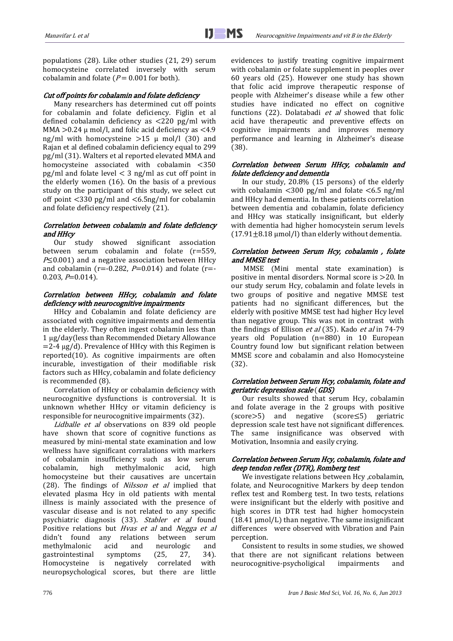populations (28). Like other studies (21, 29) serum homocysteine correlated inversely with serum cobalamin and folate ( $P = 0.001$  for both).

#### Cut off points for cobalamin and folate deficiency

Many researchers has determined cut off points for cobalamin and folate deficiency. Figlin et al defined cobalamin deficiency as <220 pg/ml with MMA  $>0.24 \mu$  mol/l, and folic acid deficiency as  $< 4.9$ ng/ml with homocysteine  $>15 \mu$  mol/l (30) and Rajan et al defined cobalamin deficiency equal to 299 pg/ml (31). Walters et al reported elevated MMA and homocysteine associated with cobalamin <350  $pg/ml$  and folate level  $\lt$  3 ng/ml as cut off point in the elderly women (16). On the basis of a previous study on the participant of this study, we select cut off point <330 pg/ml and <6.5ng/ml for cobalamin and folate deficiency respectively (21).

#### Correlation between cobalamin and folate deficiency and HHcy

Our study showed significant association between serum cobalamin and folate (r=559,  $P\leq$  0.001) and a negative association between HHcy and cobalamin ( $r = -0.282$ ,  $P = 0.014$ ) and folate ( $r = -1$  $0.203, P=0.014$ ).

#### Correlation between HHcy, cobalamin and folate deficiency with neurocognitive impairments

HHcy and Cobalamin and folate deficiency are associated with cognitive impairments and dementia in the elderly. They often ingest cobalamin less than 1 µg/day(less than Recommended Dietary Allowance  $=$  2-4  $\mu$ g/d). Prevalence of HHcy with this Regimen is reported(10). As cognitive impairments are often incurable, investigation of their modifiable risk factors such as HHcy, cobalamin and folate deficiency is recommended (8).

Correlation of HHcy or cobalamin deficiency with neurocognitive dysfunctions is controversial. It is unknown whether HHcy or vitamin deficiency is responsible for neurocognitive impairments (32).

[Lidballe et](http://www.ncbi.nlm.nih.gov/pubmed?term=%22Lildballe%20DL%22%5BAuthor%5D) al observations on 839 old people have shown that score of cognitive functions as measured by mini-mental state examination and low wellness have significant corralations with markers of cobalamin insufficiency such as low serum cobalamin, high methylmalonic acid, high homocysteine but their causatives are uncertain (28). The findings of *Nilsson et al* implied that elevated plasma Hcy in old patients with mental illness is mainly associated with the presence of vascular disease and is not related to any specific psychiatric diagnosis (33). Stabler et al found Positive relations but *Hvas et al* and *Negga et al* didn't found any relations between serum methylmalonic acid and neurologic and gastrointestinal symptoms (25, 27, 34). Homocysteine is negatively correlated with neuropsychological scores, but there are little evidences to justify treating cognitive impairment with cobalamin or folate supplement in peoples over 60 years old (25). However one study has shown that folic acid improve therapeutic response of people with Alzheimer's disease while a few other studies have indicated no effect on cognitive functions (22). Dolatabadi et al showed that folic acid have therapeutic and preventive effects on cognitive impairments and improves memory performance and learning in Alzheimer's disease (38).

#### Correlation between Serum HHcy, cobalamin and folate deficiency and dementia

In our study, 20.8% (15 persons) of the elderly with cobalamin  $\langle 300 \text{ pg/ml} \rangle$  and folate  $\langle 6.5 \text{ ng/ml} \rangle$ and HHcy had dementia. In these patients correlation between dementia and cobalamin, folate deficiency and HHcy was statically insignificant, but elderly with dementia had higher homocystein serum levels  $(17.91\pm8.18 \,\mu\text{mol/l})$  than elderly without dementia.

#### Correlation between Serum Hcy, cobalamin , folate and MMSE test

MMSE (Mini mental state examination) is positive in mental disorders. Normal score is >20. In our study serum Hcy, cobalamin and folate levels in two groups of positive and negative MMSE test patients had no significant differences, but the elderly with positive MMSE test had higher Hcy level than negative group. This was not in contrast with the findings of Ellison et al (35). Kado et al in 74-79 years old Population (n=880) in 10 European Country found low but significant relation between MMSE score and cobalamin and also Homocysteine (32).

#### Correlation between Serum Hcy, cobalamin, folate and geriatric depression scale (GDS)

Our results showed that serum Hcy, cobalamin and folate average in the 2 groups with positive  $(score>5)$  and negative (score $\leq$ 5) geriatric depression scale test have not significant differences. The same insignificance was observed with Motivation, Insomnia and easily crying.

#### Correlation between Serum Hcy, cobalamin, folate and deep tendon reflex (DTR), Romberg test

We investigate relations between Hcy ,cobalamin, folate, and Neurocognitive Markers by deep tendon reflex test and Romberg test. In two tests, relations were insignificant but the elderly with positive and high scores in DTR test had higher homocystein (18.41 µmol/L) than negative. The same insignificant differences were observed with Vibration and Pain perception.

Consistent to results in some studies, we showed that there are not significant relations between neurocognitive-psycholigical impairments and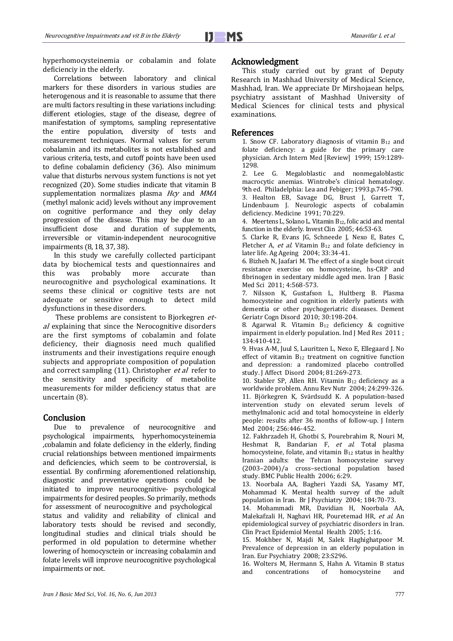hyperhomocysteinemia or cobalamin and folate deficienciy in the elderly.

Correlations between laboratory and clinical markers for these disorders in various studies are heterogenous and it is reasonable to assume that there are multi factors resulting in these variations including: different etiologies, stage of the disease, degree of manifestation of symptoms, sampling representative the entire population, diversity of tests and measurement techniques. Normal values for serum cobalamin and its metabolites is not established and various criteria, tests, and cutoff points have been used to define cobalamin deficiency (36). Also minimum value that disturbs nervous system functions is not yet recognized (20). Some studies indicate that vitamin B supplementation normalizes plasma Hcy and MMA (methyl malonic acid) levels without any improvement on cognitive performance and they only delay progression of the disease. This may be due to an insufficient dose and duration of supplements. and duration of supplements, irreversible or vitamin-independent neurocognitive impairments (8, 18, 37, 38).

In this study we carefully collected participant data by biochemical tests and questionnaires and this was probably more accurate than neurocognitive and psychological examinations. It seems these clinical or cognitive tests are not adequate or sensitive enough to detect mild dysfunctions in these disorders.

These problems are consistent to Bjorkegren etal explaining that since the Nerocognitive disorders are the first symptoms of cobalamin and folate deficiency, their diagnosis need much qualified instruments and their investigations require enough subjects and appropriate composition of population and correct sampling (11). Christopher et al refer to the sensitivity and specificity of metabolite measurements for milder deficiency status that are uncertain (8).

## **Conclusion**

Due to prevalence of neurocognitive and psychological impairments, hyperhomocysteinemia ,cobalamin and folate deficiency in the elderly, finding crucial relationships between mentioned impairments and deficiencies, which seem to be controversial, is essential. By confirming aforementioned relationship, diagnostic and preventative operations could be initiated to improve neurocognitive- psychological impairments for desired peoples. So primarily, methods for assessment of neurocognitive and psychological status and validity and reliability of clinical and laboratory tests should be revised and secondly, longitudinal studies and clinical trials should be performed in old population to determine whether lowering of homocysctein or increasing cobalamin and folate levels will improve neurocognitive psychological impairments or not.

#### Acknowledgment

This study carried out by grant of Deputy Research in Mashhad University of Medical Science, Mashhad, Iran. We appreciate Dr Mirshojaean helps, psychiatry assistant of Mashhad University of Medical Sciences for clinical tests and physical examinations.

#### References

1. Snow CF. Laboratory diagnosis of vitamin  $B_{12}$  and folate deficiency: a guide for the primary care physician. Arch Intern Med [Review] 1999; 159:1289- 1298.

2. Lee G. Megaloblastic and nonmegaloblastic macrocytic anemias. Wintrobe's clinical hematology. 9th ed. Philadelphia: Lea and Febiger; 1993.p.745-790. 3. Healton EB, Savage DG, Brust J, Garrett T,

Lindenbaum J. Neurologic aspects of cobalamin deficiency. Medicine 1991; 70:229.

4. Meertens L, Solano L. Vitamin B12, folic acid and mental function in the elderly. Invest Clin 2005; 46:53-63.

5. Clarke R, Evans JG, Schneede J, Nexo E, Bates C, Fletcher A, et al. Vitamin  $B_{12}$  and folate deficiency in later life. Ag Ageing 2004; 33:34-41.

6. Bizheh N, Jaafari M. The effect of a single bout circuit resistance exercise on homocysteine, hs-CRP and fibrinogen in sedentary middle aged men. Iran J Basic Med Sci 2011; 4:568-573.

7. Nilsson K, Gustafson L, Hultberg B. Plasma homocysteine and cognition in elderly patients with dementia or other psychogeriatric diseases. Dement Geriatr Cogn Disord 2010; 30:198-204.

8. Agarwal R. Vitamin B<sup>12</sup> deficiency & cognitive impairment in elderly population. Ind J Med Res 2011 ; 134:410-412.

9. Hvas A-M, Juul S, Lauritzen L, Nexo E, Ellegaard J. No effect of vitamin B<sup>12</sup> treatment on cognitive function and depression: a randomized placebo controlled study. J Affect Disord 2004; 81:269-273.

10. Stabler SP, Allen RH. Vitamin B12 deficiency as a worldwide problem. Annu Rev Nutr 2004; 24:299-326. 11. Björkegren K, Svärdsudd K. A population-based intervention study on elevated serum levels of methylmalonic acid and total homocysteine in elderly people: results after 36 months of follow-up. J Intern Med 2004; 256:446-452.

12. Fakhrzadeh H, Ghotbi S, Pourebrahim R, Nouri M, Heshmat R, Bandarian F, et al. Total plasma homocysteine, folate, and vitamin B<sup>12</sup> status in healthy Iranian adults: the Tehran homocysteine survey (2003–2004)/a cross–sectional population based study. BMC Public Health 2006; 6:29.

13. Noorbala AA, Bagheri Yazdi SA, Yasamy MT, Mohammad K. Mental health survey of the adult population in Iran. Br J Psychiatry 2004; 184:70-73.

14. Mohammadi MR, Davidian H, Noorbala AA, Malekafzali H, Naghavi HR, Pouretemad HR, et al. An epidemiological survey of psychiatric disorders in Iran. Clin Pract Epidemiol Mental Health 2005; 1:16.

15. Mokhber N, Majdi M, Salek Haghighatpoor M. Prevalence of depression in an elderly population in Iran. Eur Psychiatry 2008; 23:S296.

16. Wolters M, Hermann S, Hahn A. Vitamin B status and concentrations of homocysteine and